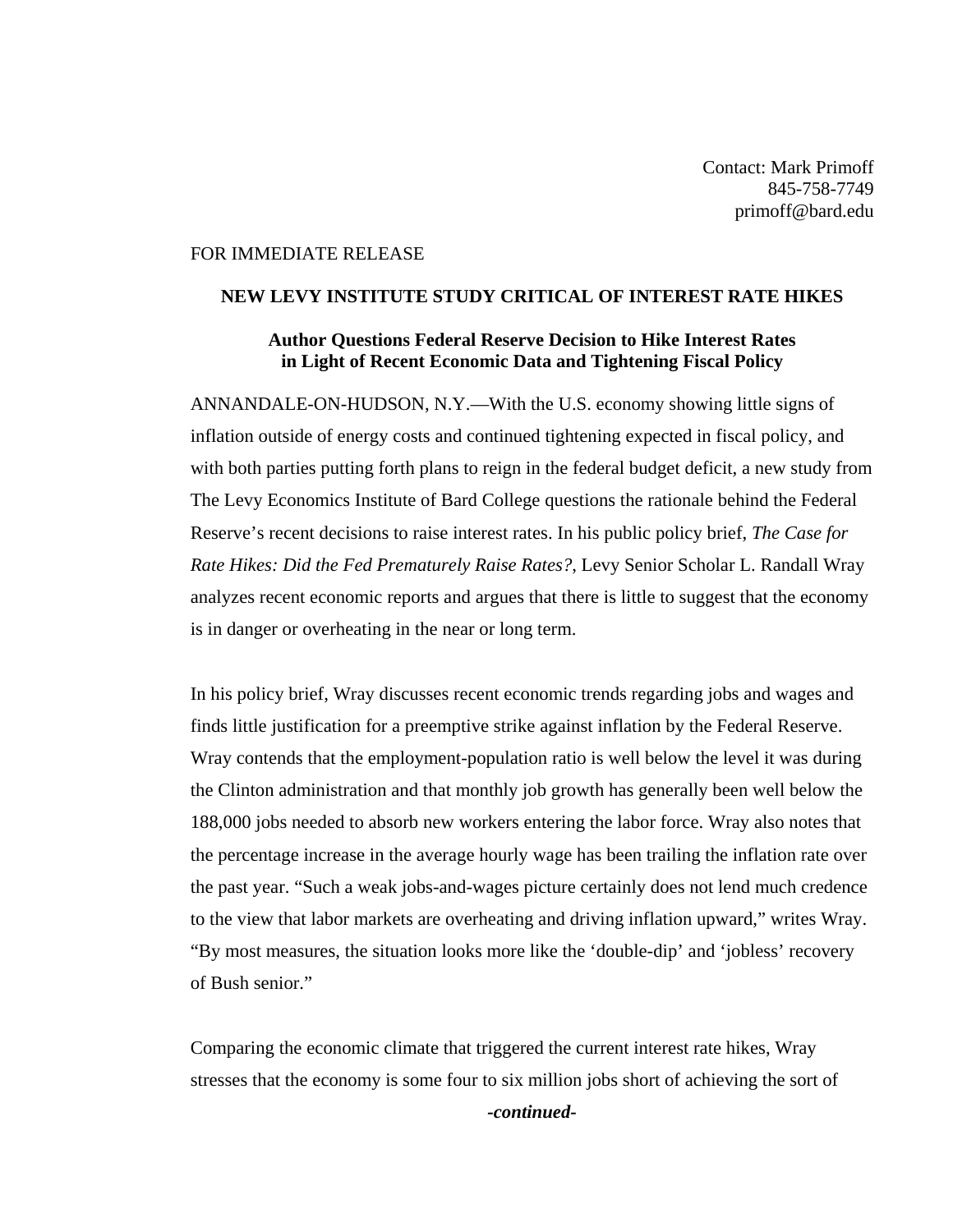Contact: Mark Primoff 845-758-7749 primoff@bard.edu

## FOR IMMEDIATE RELEASE

## **NEW LEVY INSTITUTE STUDY CRITICAL OF INTEREST RATE HIKES**

## **Author Questions Federal Reserve Decision to Hike Interest Rates in Light of Recent Economic Data and Tightening Fiscal Policy**

ANNANDALE-ON-HUDSON, N.Y.—With the U.S. economy showing little signs of inflation outside of energy costs and continued tightening expected in fiscal policy, and with both parties putting forth plans to reign in the federal budget deficit, a new study from The Levy Economics Institute of Bard College questions the rationale behind the Federal Reserve's recent decisions to raise interest rates. In his public policy brief, *The Case for Rate Hikes: Did the Fed Prematurely Raise Rates?*, Levy Senior Scholar L. Randall Wray analyzes recent economic reports and argues that there is little to suggest that the economy is in danger or overheating in the near or long term.

In his policy brief, Wray discusses recent economic trends regarding jobs and wages and finds little justification for a preemptive strike against inflation by the Federal Reserve. Wray contends that the employment-population ratio is well below the level it was during the Clinton administration and that monthly job growth has generally been well below the 188,000 jobs needed to absorb new workers entering the labor force. Wray also notes that the percentage increase in the average hourly wage has been trailing the inflation rate over the past year. "Such a weak jobs-and-wages picture certainly does not lend much credence to the view that labor markets are overheating and driving inflation upward," writes Wray. "By most measures, the situation looks more like the 'double-dip' and 'jobless' recovery of Bush senior."

Comparing the economic climate that triggered the current interest rate hikes, Wray stresses that the economy is some four to six million jobs short of achieving the sort of

*-continued-*